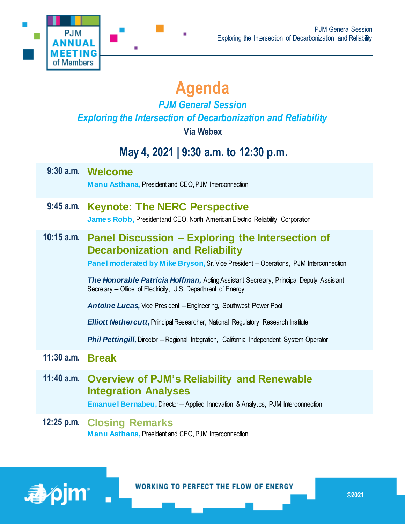

# **Agenda**

# *PJM General Session Exploring the Intersection of Decarbonization and Reliability*

**Via Webex**

# **May 4, 2021 | 9:30 a.m. to 12:30 p.m.**

|              | 9:30 a.m. Welcome<br><b>Manu Asthana, President and CEO, PJM Interconnection</b>                                                                                                                                                                                                                                                                                                                                                                                                                                                                                                                                                  |
|--------------|-----------------------------------------------------------------------------------------------------------------------------------------------------------------------------------------------------------------------------------------------------------------------------------------------------------------------------------------------------------------------------------------------------------------------------------------------------------------------------------------------------------------------------------------------------------------------------------------------------------------------------------|
| $9:45$ a.m.  | <b>Keynote: The NERC Perspective</b><br>James Robb, Presidentand CEO, North American Electric Reliability Corporation                                                                                                                                                                                                                                                                                                                                                                                                                                                                                                             |
|              | 10:15 a.m. Panel Discussion - Exploring the Intersection of<br><b>Decarbonization and Reliability</b><br>Panel moderated by Mike Bryson, Sr. Vice President - Operations, PJM Interconnection<br><b>The Honorable Patricia Hoffman, Acting Assistant Secretary, Principal Deputy Assistant</b><br>Secretary – Office of Electricity, U.S. Department of Energy<br>Antoine Lucas, Vice President - Engineering, Southwest Power Pool<br><b>Elliott Nethercutt, Principal Researcher, National Regulatory Research Institute</b><br><b>Phil Pettingill, Director - Regional Integration, California Independent System Operator</b> |
| $11:30$ a.m. | <b>Break</b>                                                                                                                                                                                                                                                                                                                                                                                                                                                                                                                                                                                                                      |
|              | 11:40 a.m. Overview of PJM's Reliability and Renewable<br><b>Integration Analyses</b><br><b>Emanuel Bernabeu, Director-Applied Innovation &amp; Analytics, PJM Interconnection</b>                                                                                                                                                                                                                                                                                                                                                                                                                                                |

**12:25 p.m. Closing Remarks Manu Asthana,** President and CEO, PJM Interconnection

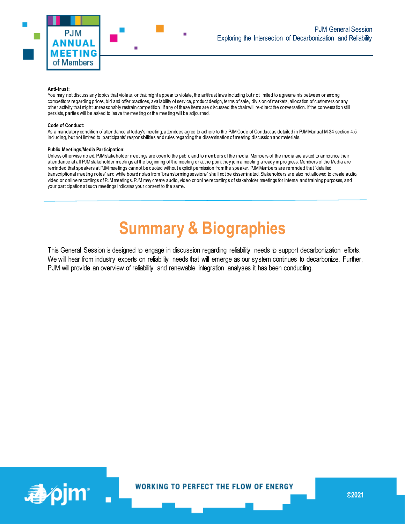

#### **Anti-trust:**

You may not discuss any topics that violate, or that might appear to violate, the antitrust laws including but not limited to agreeme nts between or among competitors regarding prices, bid and offer practices, availability of service, product design, terms of sale, division of markets, allocation of customers or any other activity that might unreasonably restrain competition. If any of these items are discussed the chair will re-direct the conversation. If the conversation still persists, parties will be asked to leave the meeting or the meeting will be adjourned.

#### **Code of Conduct:**

As a mandatory condition of attendance at today's meeting, attendees agree to adhere to the PJM Code of Conduct as detailed in PJM Manual M-34 section 4.5, including, but not limited to, participants' responsibilities and rules regarding the dissemination of meeting discussion and materials.

#### **Public Meetings/Media Participation:**

Unless otherwise noted, PJM stakeholder meetings are open to the public and to members of the media. Members of the media are asked to announce their attendance at all PJM stakeholder meetings at the beginning of the meeting or at the point they join a meeting already in pro gress. Members of the Media are reminded that speakers at PJM meetings cannot be quoted without explicit permission from the speaker. PJM Members are reminded that "detailed transcriptional meeting notes" and white board notes from "brainstorming sessions" shall not be disseminated. Stakeholders ar e also not allowed to create audio, video or online recordings of PJM meetings. PJM may create audio, video or online recordings of stakeholder meetings for internal and training purposes, and your participation at such meetings indicates your consent to the same.

# **Summary & Biographies**

This General Session is designed to engage in discussion regarding reliability needs to support decarbonization efforts. We will hear from industry experts on reliability needs that will emerge as our system continues to decarbonize. Further, PJM will provide an overview of reliability and renewable integration analyses it has been conducting.

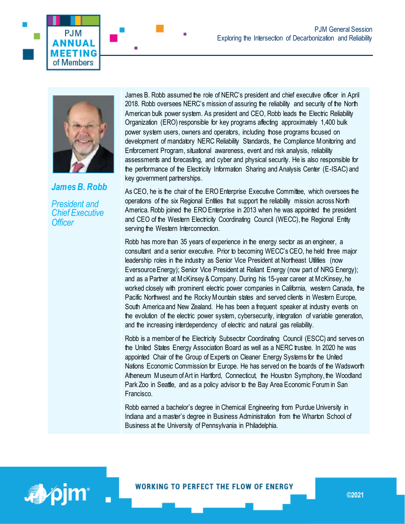



*James B. Robb* 

*President and Chief Executive Officer*

James B. Robb assumed the role of NERC's president and chief executive officer in April 2018. Robb oversees NERC's mission of assuring the reliability and security of the North American bulk power system. As president and CEO, Robb leads the Electric Reliability Organization (ERO) responsible for key programs affecting approximately 1,400 bulk power system users, owners and operators, including those programs focused on development of mandatory NERC Reliability Standards, the Compliance Monitoring and Enforcement Program, situational awareness, event and risk analysis, reliability assessments and forecasting, and cyber and physical security. He is also responsible for the performance of the Electricity Information Sharing and Analysis Center (E-ISAC) and key government partnerships.

As CEO, he is the chair of the ERO Enterprise Executive Committee, which oversees the operations of the six Regional Entities that support the reliability mission across North America. Robb joined the ERO Enterprise in 2013 when he was appointed the president and CEO of the Western Electricity Coordinating Council (WECC), the Regional Entity serving the Western Interconnection.

Robb has more than 35 years of experience in the energy sector as an engineer, a consultant and a senior executive. Prior to becoming WECC's CEO, he held three major leadership roles in the industry as Senior Vice President at Northeast Utilities (now Eversource Energy); Senior Vice President at Reliant Energy (now part of NRG Energy); and as a Partner at McKinsey & Company. During his 15-year career at McKinsey, he worked closely with prominent electric power companies in California, western Canada, the Pacific Northwest and the Rocky Mountain states and served clients in Western Europe, South America and New Zealand. He has been a frequent speaker at industry events on the evolution of the electric power system, cybersecurity, integration of variable generation, and the increasing interdependency of electric and natural gas reliability.

Robb is a member of the Electricity Subsector Coordinating Council (ESCC) and serves on the United States Energy Association Board as well as a NERC trustee. In 2020 he was appointed Chair of the Group of Experts on Cleaner Energy Systems for the United Nations Economic Commission for Europe. He has served on the boards of the Wadsworth Atheneum Museum of Art in Hartford, Connecticut, the Houston Symphony, the Woodland Park Zoo in Seattle, and as a policy advisor to the Bay Area Economic Forum in San Francisco.

Robb earned a bachelor's degree in Chemical Engineering from Purdue University in Indiana and a master's degree in Business Administration from the Wharton School of Business at the University of Pennsylvania in Philadelphia.

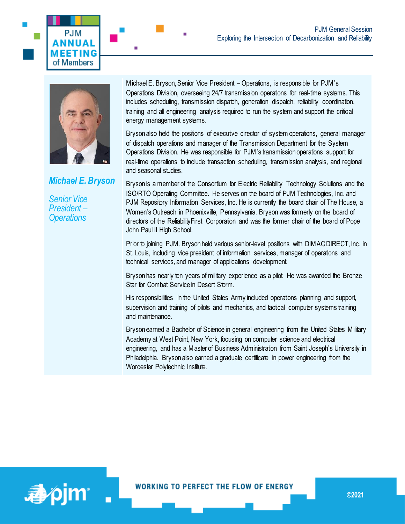



**PJM** INUAL **MFFTING** of Members

*Michael E. Bryson*

*Senior Vice President – Operations*

Michael E. Bryson, Senior Vice President – Operations, is responsible for PJM's Operations Division, overseeing 24/7 transmission operations for real-time systems. This includes scheduling, transmission dispatch, generation dispatch, reliability coordination, training and all engineering analysis required to run the system and support the critical energy management systems.

Bryson also held the positions of executive director of system operations, general manager of dispatch operations and manager of the Transmission Department for the System Operations Division. He was responsible for PJM's transmission operations support for real-time operations to include transaction scheduling, transmission analysis, and regional and seasonal studies.

Bryson is a member of the Consortium for Electric Reliability Technology Solutions and the ISO/RTO Operating Committee. He serves on the board of PJM Technologies, Inc. and PJM Repository Information Services, Inc. He is currently the board chair of The House, a Women's Outreach in Phoenixville, Pennsylvania. Bryson was formerly on the board of directors of the ReliabilityFirst Corporation and was the former chair of the board of Pope John Paul II High School.

Prior to joining PJM, Bryson held various senior-level positions with DIMAC DIRECT, Inc. in St. Louis, including vice president of information services, manager of operations and technical services, and manager of applications development.

Bryson has nearly ten years of military experience as a pilot. He was awarded the Bronze Star for Combat Service in Desert Storm.

His responsibilities in the United States Army included operations planning and support, supervision and training of pilots and mechanics, and tactical computer systems training and maintenance.

Bryson earned a Bachelor of Science in general engineering from the United States Military Academy at West Point, New York, focusing on computer science and electrical engineering, and has a Master of Business Administration from Saint Joseph's University in Philadelphia. Bryson also earned a graduate certificate in power engineering from the Worcester Polytechnic Institute.

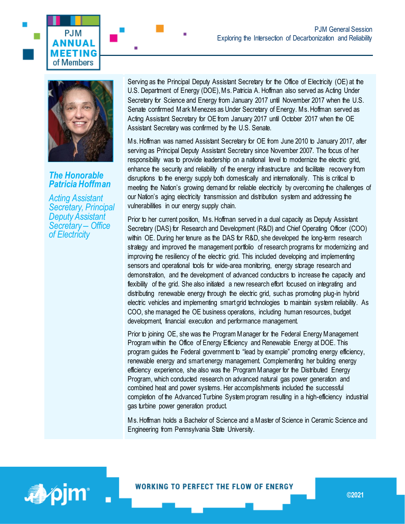



## *The Honorable Patricia Hoffman*

*Acting Assistant Secretary, Principal Deputy Assistant Secretary – Office of Electricity*

Serving as the Principal Deputy Assistant Secretary for the Office of Electricity (OE) at the U.S. Department of Energy (DOE), Ms. Patricia A. Hoffman also served as Acting Under Secretary for Science and Energy from January 2017 until November 2017 when the U.S. Senate confirmed Mark Menezes as Under Secretary of Energy. Ms. Hoffman served as Acting Assistant Secretary for OE from January 2017 until October 2017 when the OE Assistant Secretary was confirmed by the U.S. Senate.

Ms. Hoffman was named Assistant Secretary for OE from June 2010 to January 2017, after serving as Principal Deputy Assistant Secretary since November 2007. The focus of her responsibility was to provide leadership on a national level to modernize the electric grid, enhance the security and reliability of the energy infrastructure and facilitate recovery from disruptions to the energy supply both domestically and internationally. This is critical to meeting the Nation's growing demand for reliable electricity by overcoming the challenges of our Nation's aging electricity transmission and distribution system and addressing the vulnerabilities in our energy supply chain.

Prior to her current position, Ms. Hoffman served in a dual capacity as Deputy Assistant Secretary (DAS) for Research and Development (R&D) and Chief Operating Officer (COO) within OE. During her tenure as the DAS for R&D, she developed the long-term research strategy and improved the management portfolio of research programs for modernizing and improving the resiliency of the electric grid. This included developing and implementing sensors and operational tools for wide-area monitoring, energy storage research and demonstration, and the development of advanced conductors to increase the capacity and flexibility of the grid. She also initiated a new research effort focused on integrating and distributing renewable energy through the electric grid, such as promoting plug-in hybrid electric vehicles and implementing smart grid technologies to maintain system reliability. As COO, she managed the OE business operations, including human resources, budget development, financial execution and performance management.

Prior to joining OE, she was the Program Manager for the Federal Energy Management Program within the Office of Energy Efficiency and Renewable Energy at DOE. This program guides the Federal government to "lead by example" promoting energy efficiency, renewable energy and smart energy management. Complementing her building energy efficiency experience, she also was the Program Manager for the Distributed Energy Program, which conducted research on advanced natural gas power generation and combined heat and power systems. Her accomplishments included the successful completion of the Advanced Turbine System program resulting in a high-efficiency industrial gas turbine power generation product.

Ms. Hoffman holds a Bachelor of Science and a Master of Science in Ceramic Science and Engineering from Pennsylvania State University.

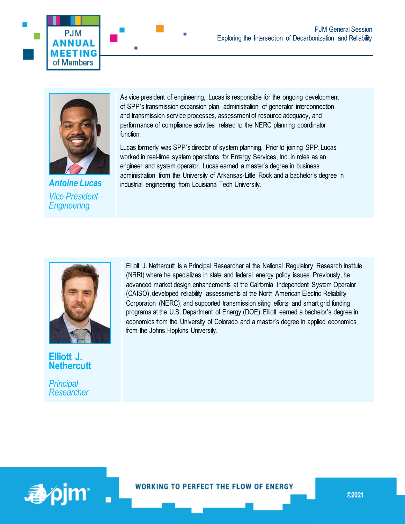



*Antoine Lucas Vice President – Engineering*

As vice president of engineering, Lucas is responsible for the ongoing development of SPP's transmission expansion plan, administration of generator interconnection and transmission service processes, assessment of resource adequacy, and performance of compliance activities related to the NERC planning coordinator function.

Lucas formerly was SPP's director of system planning. Prior to joining SPP, Lucas worked in real-time system operations for Entergy Services, Inc. in roles as an engineer and system operator. Lucas earned a master's degree in business administration from the University of Arkansas-Little Rock and a bachelor's degree in industrial engineering from Louisiana Tech University.



**Elliott J. Nethercutt**

*Principal Researcher* Elliott J. Nethercutt is a Principal Researcher at the National Regulatory Research Institute (NRRI) where he specializes in state and federal energy policy issues. Previously, he advanced market design enhancements at the California Independent System Operator (CAISO), developed reliability assessments at the North American Electric Reliability Corporation (NERC), and supported transmission siting efforts and smart grid funding programs at the U.S. Department of Energy (DOE). Elliott earned a bachelor's degree in economics from the University of Colorado and a master's degree in applied economics from the Johns Hopkins University.



**WORKING TO PERFECT THE FLOW OF ENERGY**